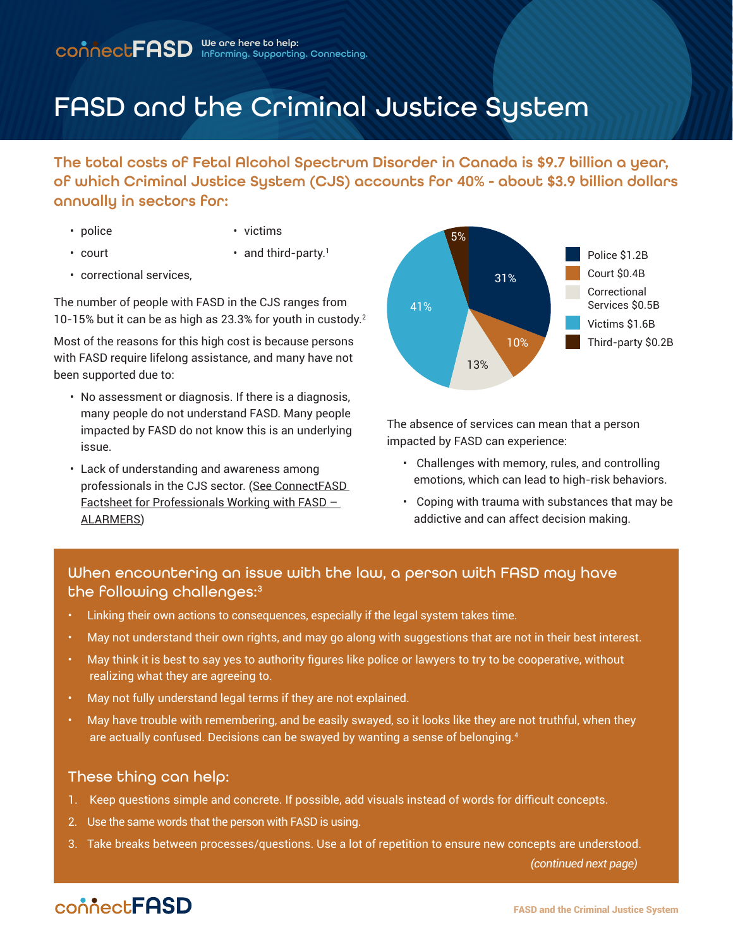# FASD and the Criminal Justice System

The total costs of Fetal Alcohol Spectrum Disorder in Canada is \$9.7 billion a year, of which Criminal Justice System (CJS) accounts for 40% - about \$3.9 billion dollars annually in sectors for:

• police

• victims

• court

- $\cdot$  and third-party.<sup>1</sup>
- correctional services,

The number of people with FASD in the CJS ranges from 10-15% but it can be as high as 23.3% for youth in custody.2

Most of the reasons for this high cost is because persons with FASD require lifelong assistance, and many have not been supported due to:

- No assessment or diagnosis. If there is a diagnosis, many people do not understand FASD. Many people impacted by FASD do not know this is an underlying issue.
- Lack of understanding and awareness among professionals in the CJS sector. [\(See ConnectFASD](http://connectfasd.ca/factsheets)  [Factsheet for Professionals Working with FASD –](http://connectfasd.ca/factsheets)  [ALARMERS](http://connectfasd.ca/factsheets))



The absence of services can mean that a person impacted by FASD can experience:

- Challenges with memory, rules, and controlling emotions, which can lead to high-risk behaviors.
- Coping with trauma with substances that may be addictive and can affect decision making.

### When encountering an issue with the law, a person with FASD may have the following challenges:<sup>3</sup>

- Linking their own actions to consequences, especially if the legal system takes time.
- May not understand their own rights, and may go along with suggestions that are not in their best interest.
- May think it is best to say yes to authority figures like police or lawyers to try to be cooperative, without realizing what they are agreeing to.
- May not fully understand legal terms if they are not explained.
- May have trouble with remembering, and be easily swayed, so it looks like they are not truthful, when they are actually confused. Decisions can be swayed by wanting a sense of belonging.4

### These thing can help:

- 1. Keep questions simple and concrete. If possible, add visuals instead of words for difficult concepts.
- 2. Use the same words that the person with FASD is using.
- 3. Take breaks between processes/questions. Use a lot of repetition to ensure new concepts are understood.

 *(continued next page)*

## connect**FASD**